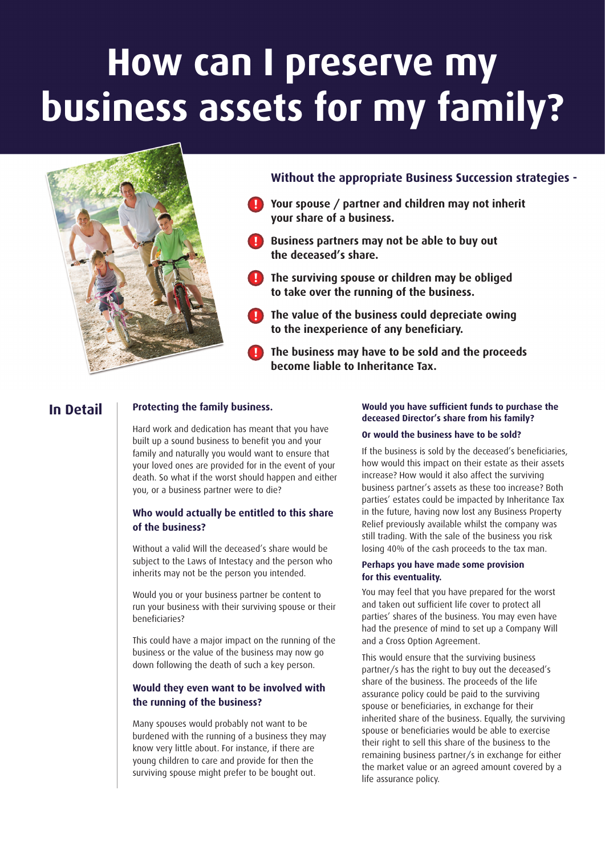# **How can I preserve my business assets for my family?**



- **Your spouse / partner and children may not inherit ! your share of a business.**
- **Business partners may not be able to buy out ! the deceased's share.**
- **The surviving spouse or children may be obliged ! to take over the running of the business.**
- **The value of the business could depreciate owing ! to the inexperience of any beneficiary.**
- **The business may have to be sold and the proceeds !become liable to Inheritance Tax.**

# **In Detail**

# **Protecting the family business.**

Hard work and dedication has meant that you have built up a sound business to benefit you and your family and naturally you would want to ensure that your loved ones are provided for in the event of your death. So what if the worst should happen and either you, or a business partner were to die?

# **Who would actually be entitled to this share of the business?**

Without a valid Will the deceased's share would be subject to the Laws of Intestacy and the person who inherits may not be the person you intended.

Would you or your business partner be content to run your business with their surviving spouse or their beneficiaries?

This could have a major impact on the running of the business or the value of the business may now go down following the death of such a key person.

# **Would they even want to be involved with the running of the business?**

Many spouses would probably not want to be burdened with the running of a business they may know very little about. For instance, if there are young children to care and provide for then the surviving spouse might prefer to be bought out.

#### **Would you have sufficient funds to purchase the deceased Director's share from his family?**

#### **Or would the business have to be sold?**

If the business is sold by the deceased's beneficiaries, how would this impact on their estate as their assets increase? How would it also affect the surviving business partner's assets as these too increase? Both parties' estates could be impacted by Inheritance Tax in the future, having now lost any Business Property Relief previously available whilst the company was still trading. With the sale of the business you risk losing 40% of the cash proceeds to the tax man.

#### **Perhaps you have made some provision for this eventuality.**

You may feel that you have prepared for the worst and taken out sufficient life cover to protect all parties' shares of the business. You may even have had the presence of mind to set up a Company Will and a Cross Option Agreement.

This would ensure that the surviving business partner/s has the right to buy out the deceased's share of the business. The proceeds of the life assurance policy could be paid to the surviving spouse or beneficiaries, in exchange for their inherited share of the business. Equally, the surviving spouse or beneficiaries would be able to exercise their right to sell this share of the business to the remaining business partner/s in exchange for either the market value or an agreed amount covered by a life assurance policy.